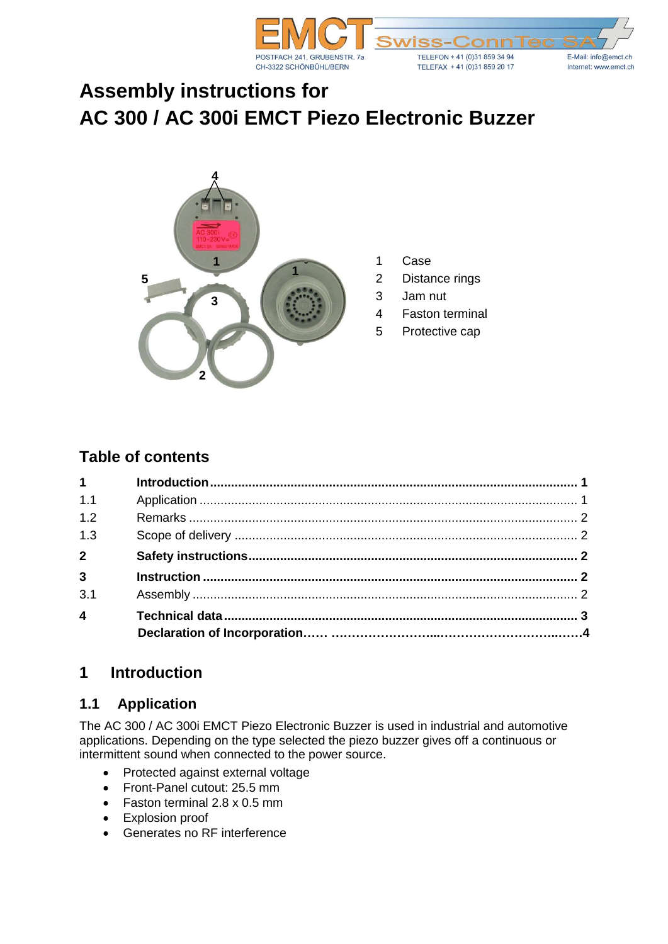

# **Assembly instructions for AC 300 / AC 300i EMCT Piezo Electronic Buzzer**



- 1 Case
- 2 Distance rings
- 3 Jam nut
- 4 Faston terminal
- 5 Protective cap

## **Table of contents**

| $1 \quad \blacksquare$  |  |
|-------------------------|--|
| 1.1                     |  |
| 1.2                     |  |
| 1.3                     |  |
| 2 <sup>1</sup>          |  |
| $\overline{3}$          |  |
| 3.1                     |  |
| $\overline{\mathbf{4}}$ |  |
|                         |  |

# **1 Introduction**

#### **1.1 Application**

The AC 300 / AC 300i EMCT Piezo Electronic Buzzer is used in industrial and automotive applications. Depending on the type selected the piezo buzzer gives off a continuous or intermittent sound when connected to the power source.

- Protected against external voltage
- Front-Panel cutout: 25.5 mm
- Faston terminal 2.8 x 0.5 mm
- Explosion proof
- Generates no RF interference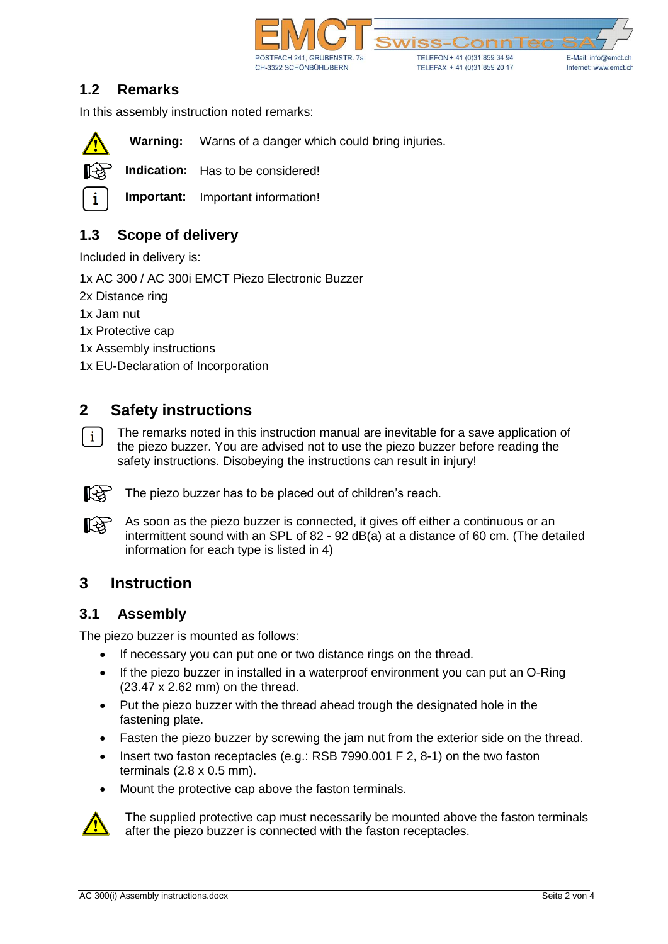

#### **1.2 Remarks**

In this assembly instruction noted remarks:



**Warning:** Warns of a danger which could bring injuries.

**Indication:** Has to be considered!

**Important:** Important information!

## **1.3 Scope of delivery**

Included in delivery is:

1x AC 300 / AC 300i EMCT Piezo Electronic Buzzer

2x Distance ring

1x Jam nut

1x Protective cap

1x Assembly instructions

1x EU-Declaration of Incorporation

## **2 Safety instructions**

The remarks noted in this instruction manual are inevitable for a save application of  $\vert i \vert$ the piezo buzzer. You are advised not to use the piezo buzzer before reading the safety instructions. Disobeying the instructions can result in injury!



The piezo buzzer has to be placed out of children's reach.

As soon as the piezo buzzer is connected, it gives off either a continuous or an LL AS intermittent sound with an SPL of 82 - 92 dB(a) at a distance of 60 cm. (The detailed information for each type is listed in 4)

## **3 Instruction**

#### **3.1 Assembly**

The piezo buzzer is mounted as follows:

- If necessary you can put one or two distance rings on the thread.
- If the piezo buzzer in installed in a waterproof environment you can put an O-Ring (23.47 x 2.62 mm) on the thread.
- Put the piezo buzzer with the thread ahead trough the designated hole in the fastening plate.
- Fasten the piezo buzzer by screwing the jam nut from the exterior side on the thread.
- Insert two faston receptacles (e.g.: RSB 7990.001 F 2, 8-1) on the two faston terminals (2.8 x 0.5 mm).
- Mount the protective cap above the faston terminals.



The supplied protective cap must necessarily be mounted above the faston terminals after the piezo buzzer is connected with the faston receptacles.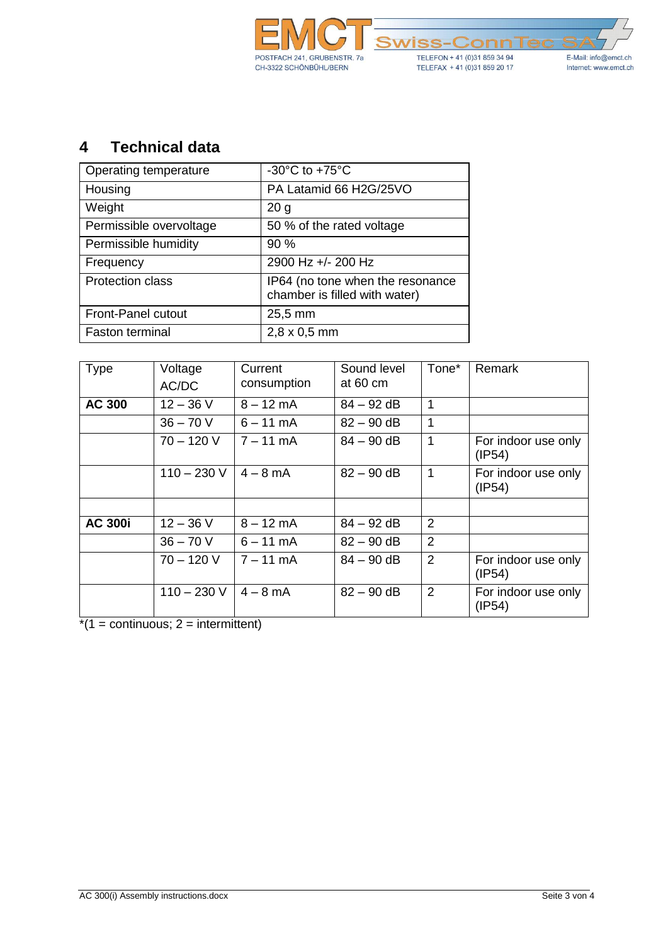

# **4 Technical data**

| Operating temperature     | -30 $\mathrm{^{\circ}C}$ to +75 $\mathrm{^{\circ}C}$              |  |  |  |
|---------------------------|-------------------------------------------------------------------|--|--|--|
| Housing                   | PA Latamid 66 H2G/25VO                                            |  |  |  |
| Weight                    | 20 <sub>g</sub>                                                   |  |  |  |
| Permissible overvoltage   | 50 % of the rated voltage                                         |  |  |  |
| Permissible humidity      | 90 %                                                              |  |  |  |
| Frequency                 | 2900 Hz +/- 200 Hz                                                |  |  |  |
| <b>Protection class</b>   | IP64 (no tone when the resonance<br>chamber is filled with water) |  |  |  |
| <b>Front-Panel cutout</b> | 25,5 mm                                                           |  |  |  |
| <b>Faston terminal</b>    | $2,8 \times 0,5$ mm                                               |  |  |  |

| Type           | Voltage<br>AC/DC | Current<br>consumption | Sound level<br>at 60 cm | Tone*          | Remark                        |
|----------------|------------------|------------------------|-------------------------|----------------|-------------------------------|
| <b>AC 300</b>  | $12 - 36$ V      | $8 - 12$ mA            | $84 - 92$ dB            | 1              |                               |
|                | $36 - 70 V$      | $6 - 11$ mA            | $82 - 90$ dB            | 1              |                               |
|                | $70 - 120 V$     | $7 - 11$ mA            | $84 - 90$ dB            | 1              | For indoor use only<br>(IP54) |
|                | $110 - 230$ V    | $4 - 8$ mA             | $82 - 90$ dB            | 1              | For indoor use only<br>(IP54) |
|                |                  |                        |                         |                |                               |
| <b>AC 300i</b> | $12 - 36$ V      | $8 - 12$ mA            | $84 - 92$ dB            | $\overline{2}$ |                               |
|                | $36 - 70 V$      | $6 - 11$ mA            | $82 - 90$ dB            | $\overline{2}$ |                               |
|                | $70 - 120 V$     | $7 - 11$ mA            | $84 - 90$ dB            | $\overline{2}$ | For indoor use only<br>(IP54) |
|                | $110 - 230$ V    | $4 - 8$ mA             | $82 - 90$ dB            | 2              | For indoor use only<br>(IP54) |

 $\frac{1}{1}$  = continuous; 2 = intermittent)